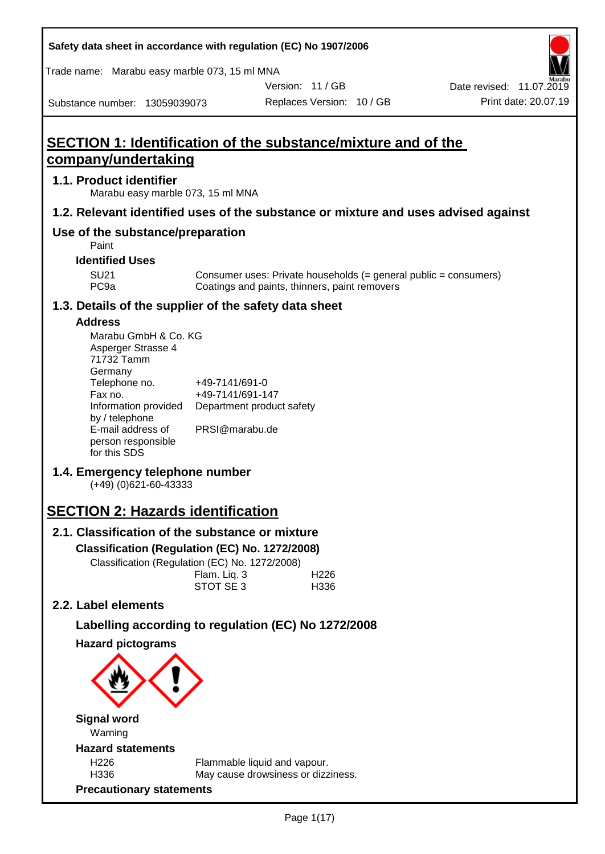| Safety data sheet in accordance with regulation (EC) No 1907/2006 |  |
|-------------------------------------------------------------------|--|
|-------------------------------------------------------------------|--|

Trade name: Marabu easy marble 073, 15 ml MNA

Version: 11 / GB

Substance number: 13059039073

# **SECTION 1: Identification of the substance/mixture and of the company/undertaking**

## **1.1. Product identifier**

Marabu easy marble 073, 15 ml MNA

## **1.2. Relevant identified uses of the substance or mixture and uses advised against**

## **Use of the substance/preparation**

Paint

## **Identified Uses**

SU21 Consumer uses: Private households (= general public = consumers)<br>PC9a Coatings and paints, thinners, paint removers Coatings and paints, thinners, paint removers

## **1.3. Details of the supplier of the safety data sheet**

## **Address**

| Marabu GmbH & Co. KG |                           |
|----------------------|---------------------------|
| Asperger Strasse 4   |                           |
| 71732 Tamm           |                           |
| Germany              |                           |
| Telephone no.        | +49-7141/691-0            |
| Fax no.              | +49-7141/691-147          |
| Information provided | Department product safety |
| by / telephone       |                           |
| E-mail address of    | PRSI@marabu.de            |
| person responsible   |                           |
| for this SDS         |                           |

## **1.4. Emergency telephone number**

(+49) (0)621-60-43333

# **SECTION 2: Hazards identification**

## **2.1. Classification of the substance or mixture**

**Classification (Regulation (EC) No. 1272/2008)**

Classification (Regulation (EC) No. 1272/2008)

|  | Flam. Liq. 3 | H <sub>226</sub> |
|--|--------------|------------------|
|  | STOT SE 3    | H336             |
|  |              |                  |

## **2.2. Label elements**

## **Labelling according to regulation (EC) No 1272/2008**

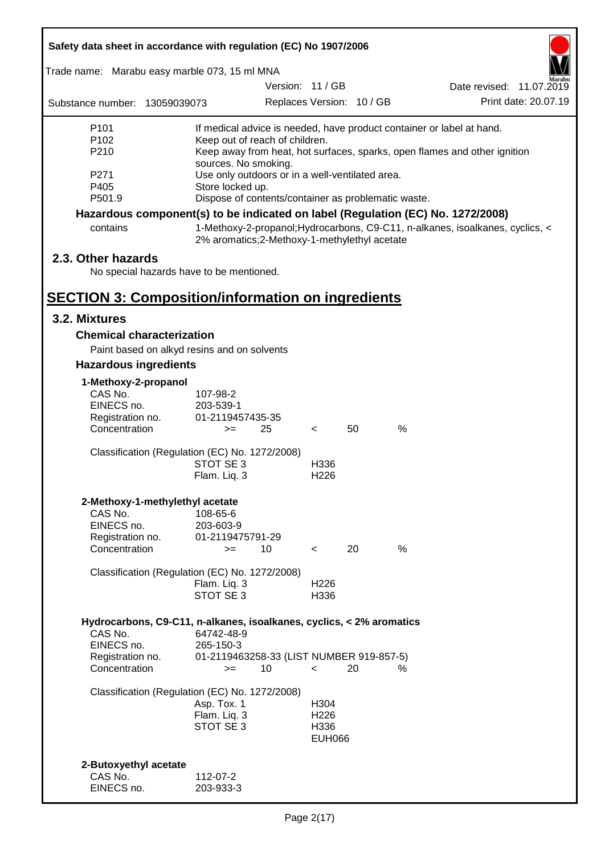| Safety data sheet in accordance with regulation (EC) No 1907/2006                             |                                                                                                                                                                                                                                                                                     |                  |                                       |                           |                                                                                 |
|-----------------------------------------------------------------------------------------------|-------------------------------------------------------------------------------------------------------------------------------------------------------------------------------------------------------------------------------------------------------------------------------------|------------------|---------------------------------------|---------------------------|---------------------------------------------------------------------------------|
| Trade name: Marabu easy marble 073, 15 ml MNA                                                 |                                                                                                                                                                                                                                                                                     |                  |                                       |                           |                                                                                 |
|                                                                                               |                                                                                                                                                                                                                                                                                     | Version: 11 / GB |                                       |                           | Date revised: 11.07.2019                                                        |
| Substance number: 13059039073                                                                 |                                                                                                                                                                                                                                                                                     |                  |                                       | Replaces Version: 10 / GB | Print date: 20.07.19                                                            |
| P <sub>101</sub><br>P <sub>102</sub><br>P210<br>P271<br>P405                                  | If medical advice is needed, have product container or label at hand.<br>Keep out of reach of children.<br>Keep away from heat, hot surfaces, sparks, open flames and other ignition<br>sources. No smoking.<br>Use only outdoors or in a well-ventilated area.<br>Store locked up. |                  |                                       |                           |                                                                                 |
| P501.9                                                                                        | Dispose of contents/container as problematic waste.                                                                                                                                                                                                                                 |                  |                                       |                           |                                                                                 |
|                                                                                               |                                                                                                                                                                                                                                                                                     |                  |                                       |                           | Hazardous component(s) to be indicated on label (Regulation (EC) No. 1272/2008) |
| contains                                                                                      | 2% aromatics;2-Methoxy-1-methylethyl acetate                                                                                                                                                                                                                                        |                  |                                       |                           | 1-Methoxy-2-propanol; Hydrocarbons, C9-C11, n-alkanes, isoalkanes, cyclics, <   |
| 2.3. Other hazards<br>No special hazards have to be mentioned.                                |                                                                                                                                                                                                                                                                                     |                  |                                       |                           |                                                                                 |
| <b>SECTION 3: Composition/information on ingredients</b>                                      |                                                                                                                                                                                                                                                                                     |                  |                                       |                           |                                                                                 |
| 3.2. Mixtures                                                                                 |                                                                                                                                                                                                                                                                                     |                  |                                       |                           |                                                                                 |
| <b>Chemical characterization</b>                                                              |                                                                                                                                                                                                                                                                                     |                  |                                       |                           |                                                                                 |
| Paint based on alkyd resins and on solvents                                                   |                                                                                                                                                                                                                                                                                     |                  |                                       |                           |                                                                                 |
| <b>Hazardous ingredients</b>                                                                  |                                                                                                                                                                                                                                                                                     |                  |                                       |                           |                                                                                 |
| 1-Methoxy-2-propanol<br>CAS No.<br>EINECS no.<br>Registration no.<br>Concentration            | 107-98-2<br>203-539-1<br>01-2119457435-35<br>25<br>$>=$                                                                                                                                                                                                                             |                  | $\lt$                                 | 50                        | %                                                                               |
| Classification (Regulation (EC) No. 1272/2008)                                                | STOT SE 3<br>Flam. Lig. 3                                                                                                                                                                                                                                                           |                  | H <sub>336</sub><br>H <sub>226</sub>  |                           |                                                                                 |
| 2-Methoxy-1-methylethyl acetate<br>CAS No.<br>EINECS no.<br>Registration no.<br>Concentration | 108-65-6<br>203-603-9<br>01-2119475791-29<br>10<br>$>=$                                                                                                                                                                                                                             |                  | $\overline{\phantom{a}}$              | 20                        | %                                                                               |
| Classification (Regulation (EC) No. 1272/2008)                                                | Flam. Liq. 3<br>STOT SE 3                                                                                                                                                                                                                                                           |                  | H226<br>H336                          |                           |                                                                                 |
| Hydrocarbons, C9-C11, n-alkanes, isoalkanes, cyclics, < 2% aromatics<br>CAS No.<br>EINECS no. | 64742-48-9<br>265-150-3                                                                                                                                                                                                                                                             |                  |                                       |                           |                                                                                 |
| Registration no.<br>Concentration                                                             | 01-2119463258-33 (LIST NUMBER 919-857-5)<br>10<br>$>=$                                                                                                                                                                                                                              |                  | $\overline{\phantom{a}}$              | 20                        | ℅                                                                               |
| Classification (Regulation (EC) No. 1272/2008)                                                | Asp. Tox. 1<br>Flam. Liq. 3<br>STOT SE 3                                                                                                                                                                                                                                            |                  | H304<br>H226<br>H336<br><b>EUH066</b> |                           |                                                                                 |
| 2-Butoxyethyl acetate<br>CAS No.<br>EINECS no.                                                | 112-07-2<br>203-933-3                                                                                                                                                                                                                                                               |                  |                                       |                           |                                                                                 |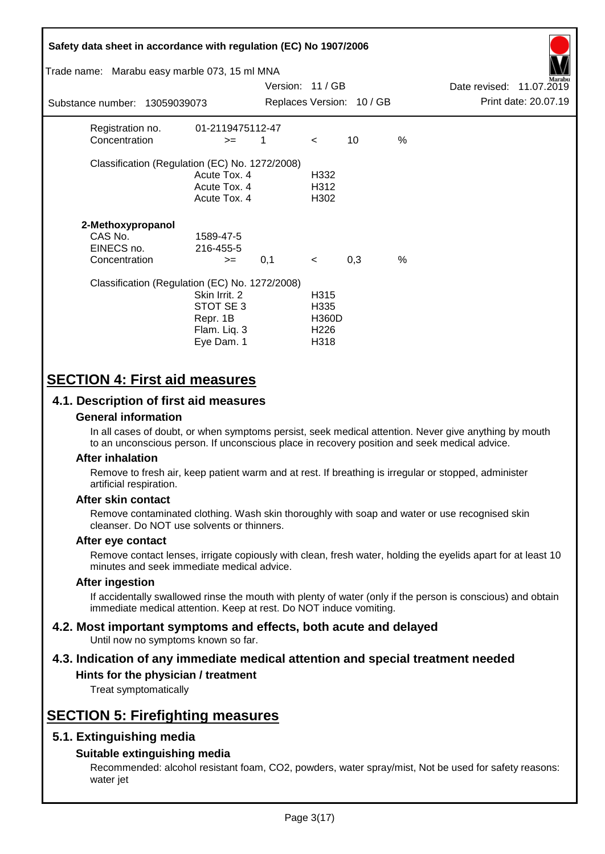| Safety data sheet in accordance with regulation (EC) No 1907/2006<br>Trade name: Marabu easy marble 073, 15 ml MNA<br>arabu<br>Version: 11 / GB<br>Date revised: 11.07.2019 |                                                                      |     |                                                          |                           |               |                      |
|-----------------------------------------------------------------------------------------------------------------------------------------------------------------------------|----------------------------------------------------------------------|-----|----------------------------------------------------------|---------------------------|---------------|----------------------|
| Substance number: 13059039073                                                                                                                                               |                                                                      |     |                                                          | Replaces Version: 10 / GB |               | Print date: 20.07.19 |
| Registration no.<br>Concentration                                                                                                                                           | 01-2119475112-47<br>$>=$                                             | 1   | $\prec$                                                  | 10                        | %             |                      |
| Classification (Regulation (EC) No. 1272/2008)                                                                                                                              | Acute Tox. 4<br>Acute Tox. 4<br>Acute Tox. 4                         |     | H332<br>H312<br>H302                                     |                           |               |                      |
| 2-Methoxypropanol<br>CAS No.<br>EINECS no.<br>Concentration                                                                                                                 | 1589-47-5<br>216-455-5<br>$>=$                                       | 0,1 | $\prec$                                                  | 0,3                       | $\frac{0}{0}$ |                      |
| Classification (Regulation (EC) No. 1272/2008)                                                                                                                              | Skin Irrit. 2<br>STOT SE 3<br>Repr. 1B<br>Flam. Liq. 3<br>Eye Dam. 1 |     | H315<br>H335<br><b>H360D</b><br>H <sub>226</sub><br>H318 |                           |               |                      |

# **SECTION 4: First aid measures**

## **4.1. Description of first aid measures**

## **General information**

In all cases of doubt, or when symptoms persist, seek medical attention. Never give anything by mouth to an unconscious person. If unconscious place in recovery position and seek medical advice.

## **After inhalation**

Remove to fresh air, keep patient warm and at rest. If breathing is irregular or stopped, administer artificial respiration.

## **After skin contact**

Remove contaminated clothing. Wash skin thoroughly with soap and water or use recognised skin cleanser. Do NOT use solvents or thinners.

## **After eye contact**

Remove contact lenses, irrigate copiously with clean, fresh water, holding the eyelids apart for at least 10 minutes and seek immediate medical advice.

#### **After ingestion**

If accidentally swallowed rinse the mouth with plenty of water (only if the person is conscious) and obtain immediate medical attention. Keep at rest. Do NOT induce vomiting.

#### **4.2. Most important symptoms and effects, both acute and delayed** Until now no symptoms known so far.

# **4.3. Indication of any immediate medical attention and special treatment needed**

## **Hints for the physician / treatment**

Treat symptomatically

# **SECTION 5: Firefighting measures**

## **5.1. Extinguishing media**

## **Suitable extinguishing media**

Recommended: alcohol resistant foam, CO2, powders, water spray/mist, Not be used for safety reasons: water jet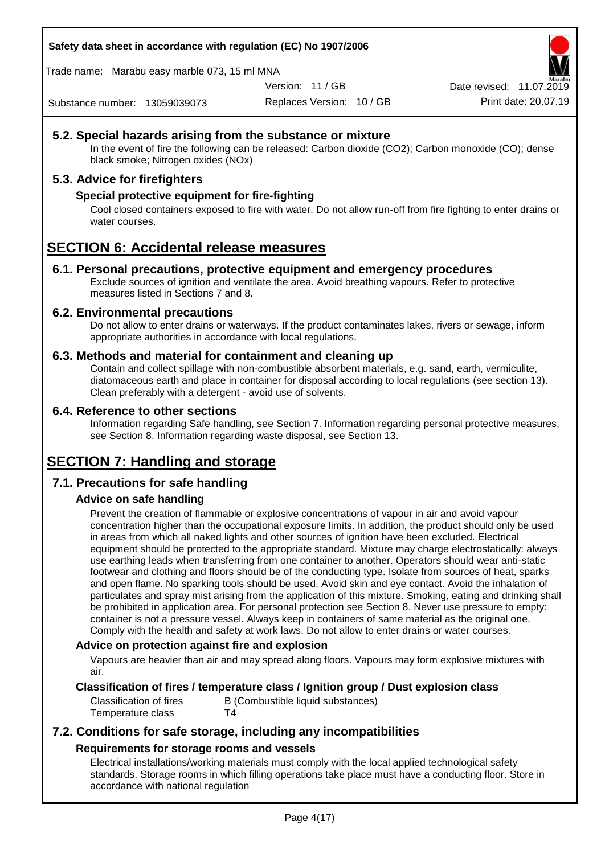**Safety data sheet in accordance with regulation (EC) No 1907/2006**

Trade name: Marabu easy marble 073, 15 ml MNA

Version: 11 / GB

Date revised: 11.07.2019

Substance number: 13059039073

Replaces Version: 10 / GB Print date: 20.07.19

## **5.2. Special hazards arising from the substance or mixture**

In the event of fire the following can be released: Carbon dioxide (CO2); Carbon monoxide (CO); dense black smoke; Nitrogen oxides (NOx)

## **5.3. Advice for firefighters**

## **Special protective equipment for fire-fighting**

Cool closed containers exposed to fire with water. Do not allow run-off from fire fighting to enter drains or water courses.

# **SECTION 6: Accidental release measures**

## **6.1. Personal precautions, protective equipment and emergency procedures**

Exclude sources of ignition and ventilate the area. Avoid breathing vapours. Refer to protective measures listed in Sections 7 and 8.

## **6.2. Environmental precautions**

Do not allow to enter drains or waterways. If the product contaminates lakes, rivers or sewage, inform appropriate authorities in accordance with local regulations.

## **6.3. Methods and material for containment and cleaning up**

Contain and collect spillage with non-combustible absorbent materials, e.g. sand, earth, vermiculite, diatomaceous earth and place in container for disposal according to local regulations (see section 13). Clean preferably with a detergent - avoid use of solvents.

## **6.4. Reference to other sections**

Information regarding Safe handling, see Section 7. Information regarding personal protective measures, see Section 8. Information regarding waste disposal, see Section 13.

# **SECTION 7: Handling and storage**

## **7.1. Precautions for safe handling**

## **Advice on safe handling**

Prevent the creation of flammable or explosive concentrations of vapour in air and avoid vapour concentration higher than the occupational exposure limits. In addition, the product should only be used in areas from which all naked lights and other sources of ignition have been excluded. Electrical equipment should be protected to the appropriate standard. Mixture may charge electrostatically: always use earthing leads when transferring from one container to another. Operators should wear anti-static footwear and clothing and floors should be of the conducting type. Isolate from sources of heat, sparks and open flame. No sparking tools should be used. Avoid skin and eye contact. Avoid the inhalation of particulates and spray mist arising from the application of this mixture. Smoking, eating and drinking shall be prohibited in application area. For personal protection see Section 8. Never use pressure to empty: container is not a pressure vessel. Always keep in containers of same material as the original one. Comply with the health and safety at work laws. Do not allow to enter drains or water courses.

## **Advice on protection against fire and explosion**

Vapours are heavier than air and may spread along floors. Vapours may form explosive mixtures with air.

## **Classification of fires / temperature class / Ignition group / Dust explosion class**

Classification of fires B (Combustible liquid substances) Temperature class T4

## **7.2. Conditions for safe storage, including any incompatibilities Requirements for storage rooms and vessels**

Electrical installations/working materials must comply with the local applied technological safety standards. Storage rooms in which filling operations take place must have a conducting floor. Store in accordance with national regulation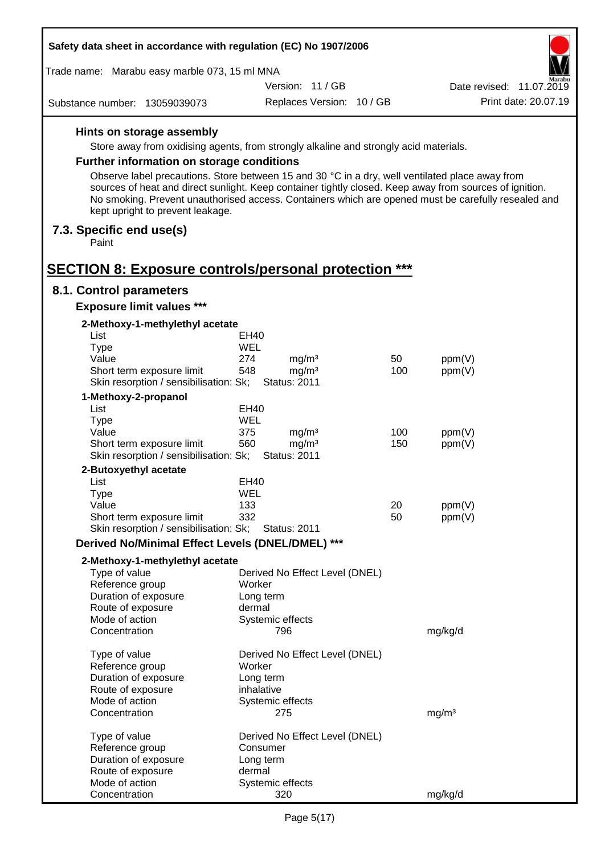| Safety data sheet in accordance with regulation (EC) No 1907/2006 |                                                                     |                                                                                                                                                                                                                                                                                                                   |     |                          |
|-------------------------------------------------------------------|---------------------------------------------------------------------|-------------------------------------------------------------------------------------------------------------------------------------------------------------------------------------------------------------------------------------------------------------------------------------------------------------------|-----|--------------------------|
|                                                                   | Trade name: Marabu easy marble 073, 15 ml MNA                       |                                                                                                                                                                                                                                                                                                                   |     | farabu                   |
|                                                                   |                                                                     | Version: 11 / GB                                                                                                                                                                                                                                                                                                  |     | Date revised: 11.07.2019 |
|                                                                   | Substance number: 13059039073                                       | Replaces Version: 10 / GB                                                                                                                                                                                                                                                                                         |     | Print date: 20.07.19     |
|                                                                   | Hints on storage assembly                                           |                                                                                                                                                                                                                                                                                                                   |     |                          |
|                                                                   |                                                                     | Store away from oxidising agents, from strongly alkaline and strongly acid materials.                                                                                                                                                                                                                             |     |                          |
|                                                                   | <b>Further information on storage conditions</b>                    |                                                                                                                                                                                                                                                                                                                   |     |                          |
|                                                                   |                                                                     |                                                                                                                                                                                                                                                                                                                   |     |                          |
|                                                                   | kept upright to prevent leakage.                                    | Observe label precautions. Store between 15 and 30 °C in a dry, well ventilated place away from<br>sources of heat and direct sunlight. Keep container tightly closed. Keep away from sources of ignition.<br>No smoking. Prevent unauthorised access. Containers which are opened must be carefully resealed and |     |                          |
| Paint                                                             | 7.3. Specific end use(s)                                            |                                                                                                                                                                                                                                                                                                                   |     |                          |
|                                                                   |                                                                     | <b>SECTION 8: Exposure controls/personal protection ***</b>                                                                                                                                                                                                                                                       |     |                          |
|                                                                   | 8.1. Control parameters                                             |                                                                                                                                                                                                                                                                                                                   |     |                          |
|                                                                   | <b>Exposure limit values ***</b>                                    |                                                                                                                                                                                                                                                                                                                   |     |                          |
|                                                                   | 2-Methoxy-1-methylethyl acetate                                     |                                                                                                                                                                                                                                                                                                                   |     |                          |
| List                                                              |                                                                     | EH40<br><b>WEL</b>                                                                                                                                                                                                                                                                                                |     |                          |
| <b>Type</b>                                                       | Value                                                               | 274<br>mg/m <sup>3</sup>                                                                                                                                                                                                                                                                                          | 50  | ppm(V)                   |
|                                                                   | Short term exposure limit                                           | 548<br>mg/m <sup>3</sup>                                                                                                                                                                                                                                                                                          | 100 | ppm(V)                   |
|                                                                   | Skin resorption / sensibilisation: Sk;                              | <b>Status: 2011</b>                                                                                                                                                                                                                                                                                               |     |                          |
|                                                                   | 1-Methoxy-2-propanol                                                |                                                                                                                                                                                                                                                                                                                   |     |                          |
| List                                                              |                                                                     | EH40                                                                                                                                                                                                                                                                                                              |     |                          |
| <b>Type</b>                                                       |                                                                     | WEL                                                                                                                                                                                                                                                                                                               |     |                          |
|                                                                   | Value                                                               | 375<br>mg/m <sup>3</sup>                                                                                                                                                                                                                                                                                          | 100 | ppm(V)                   |
|                                                                   | Short term exposure limit<br>Skin resorption / sensibilisation: Sk; | 560<br>mg/m <sup>3</sup><br><b>Status: 2011</b>                                                                                                                                                                                                                                                                   | 150 | ppm(V)                   |
|                                                                   | 2-Butoxyethyl acetate                                               |                                                                                                                                                                                                                                                                                                                   |     |                          |
| List                                                              |                                                                     | EH40                                                                                                                                                                                                                                                                                                              |     |                          |
| Type                                                              |                                                                     | WEL                                                                                                                                                                                                                                                                                                               |     |                          |
|                                                                   | Value                                                               | 133                                                                                                                                                                                                                                                                                                               | 20  | ppm(V)                   |
|                                                                   | Short term exposure limit<br>Skin resorption / sensibilisation: Sk; | 332<br><b>Status: 2011</b>                                                                                                                                                                                                                                                                                        | 50  | ppm(V)                   |
|                                                                   |                                                                     |                                                                                                                                                                                                                                                                                                                   |     |                          |
|                                                                   |                                                                     | Derived No/Minimal Effect Levels (DNEL/DMEL) ***                                                                                                                                                                                                                                                                  |     |                          |
|                                                                   | 2-Methoxy-1-methylethyl acetate                                     |                                                                                                                                                                                                                                                                                                                   |     |                          |
|                                                                   | Type of value                                                       | Derived No Effect Level (DNEL)                                                                                                                                                                                                                                                                                    |     |                          |
|                                                                   | Reference group                                                     | Worker                                                                                                                                                                                                                                                                                                            |     |                          |
|                                                                   | Duration of exposure<br>Route of exposure                           | Long term<br>dermal                                                                                                                                                                                                                                                                                               |     |                          |
|                                                                   | Mode of action                                                      | Systemic effects                                                                                                                                                                                                                                                                                                  |     |                          |
|                                                                   | Concentration                                                       | 796                                                                                                                                                                                                                                                                                                               |     | mg/kg/d                  |
|                                                                   | Type of value                                                       | Derived No Effect Level (DNEL)                                                                                                                                                                                                                                                                                    |     |                          |
|                                                                   | Reference group                                                     | Worker                                                                                                                                                                                                                                                                                                            |     |                          |
|                                                                   | Duration of exposure                                                | Long term                                                                                                                                                                                                                                                                                                         |     |                          |
|                                                                   | Route of exposure                                                   | inhalative                                                                                                                                                                                                                                                                                                        |     |                          |
|                                                                   | Mode of action<br>Concentration                                     | Systemic effects<br>275                                                                                                                                                                                                                                                                                           |     | mg/m <sup>3</sup>        |
|                                                                   | Type of value                                                       | Derived No Effect Level (DNEL)                                                                                                                                                                                                                                                                                    |     |                          |
|                                                                   | Reference group                                                     | Consumer                                                                                                                                                                                                                                                                                                          |     |                          |
|                                                                   | Duration of exposure                                                | Long term                                                                                                                                                                                                                                                                                                         |     |                          |
|                                                                   | Route of exposure                                                   | dermal                                                                                                                                                                                                                                                                                                            |     |                          |
|                                                                   | Mode of action                                                      | Systemic effects                                                                                                                                                                                                                                                                                                  |     |                          |
|                                                                   | Concentration                                                       | 320                                                                                                                                                                                                                                                                                                               |     | mg/kg/d                  |

Г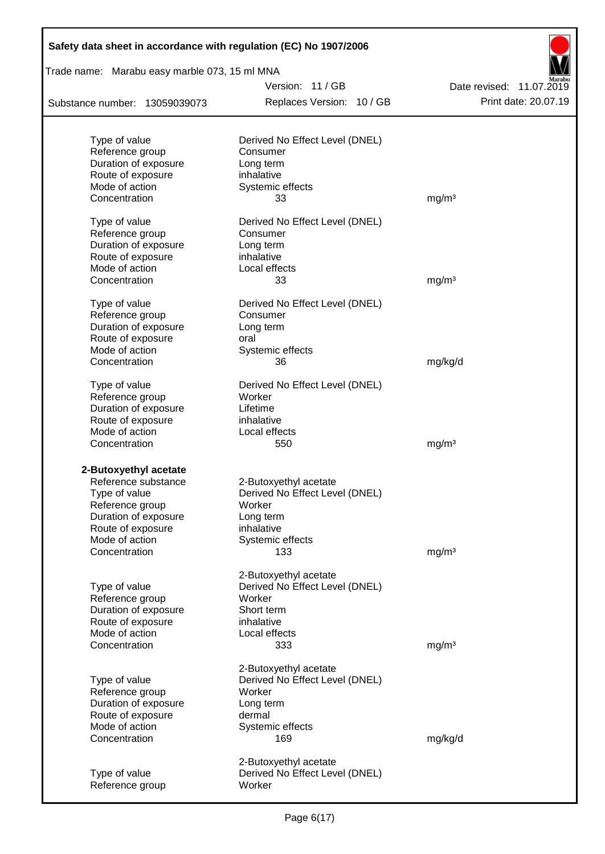| Safety data sheet in accordance with regulation (EC) No 1907/2006 |                                |                          |
|-------------------------------------------------------------------|--------------------------------|--------------------------|
| Trade name: Marabu easy marble 073, 15 ml MNA                     |                                |                          |
|                                                                   | Version: 11/GB                 | Date revised: 11.07.2019 |
| Substance number: 13059039073                                     | Replaces Version: 10 / GB      | Print date: 20.07.19     |
|                                                                   |                                |                          |
| Type of value                                                     | Derived No Effect Level (DNEL) |                          |
| Reference group                                                   | Consumer                       |                          |
| Duration of exposure                                              | Long term                      |                          |
| Route of exposure                                                 | inhalative                     |                          |
| Mode of action<br>Concentration                                   | Systemic effects<br>33         | mg/m <sup>3</sup>        |
|                                                                   |                                |                          |
| Type of value                                                     | Derived No Effect Level (DNEL) |                          |
| Reference group                                                   | Consumer                       |                          |
| Duration of exposure                                              | Long term                      |                          |
| Route of exposure                                                 | inhalative                     |                          |
| Mode of action                                                    | Local effects                  |                          |
| Concentration                                                     | 33                             | mg/m <sup>3</sup>        |
| Type of value                                                     | Derived No Effect Level (DNEL) |                          |
| Reference group                                                   | Consumer                       |                          |
| Duration of exposure                                              | Long term                      |                          |
| Route of exposure                                                 | oral                           |                          |
| Mode of action                                                    | Systemic effects               |                          |
| Concentration                                                     | 36                             | mg/kg/d                  |
| Type of value                                                     | Derived No Effect Level (DNEL) |                          |
| Reference group                                                   | Worker                         |                          |
| Duration of exposure                                              | Lifetime                       |                          |
| Route of exposure                                                 | inhalative                     |                          |
| Mode of action                                                    | Local effects                  |                          |
| Concentration                                                     | 550                            | mg/m <sup>3</sup>        |
|                                                                   |                                |                          |
| 2-Butoxyethyl acetate                                             |                                |                          |
| Reference substance                                               | 2-Butoxyethyl acetate          |                          |
| Type of value                                                     | Derived No Effect Level (DNEL) |                          |
| Reference group                                                   | Worker                         |                          |
| Duration of exposure                                              | Long term                      |                          |
| Route of exposure<br>Mode of action                               | inhalative<br>Systemic effects |                          |
| Concentration                                                     | 133                            | mg/m <sup>3</sup>        |
|                                                                   |                                |                          |
|                                                                   | 2-Butoxyethyl acetate          |                          |
| Type of value                                                     | Derived No Effect Level (DNEL) |                          |
| Reference group                                                   | Worker                         |                          |
| Duration of exposure                                              | Short term                     |                          |
| Route of exposure                                                 | inhalative                     |                          |
| Mode of action                                                    | Local effects                  |                          |
| Concentration                                                     | 333                            | mg/m <sup>3</sup>        |
|                                                                   | 2-Butoxyethyl acetate          |                          |
| Type of value                                                     | Derived No Effect Level (DNEL) |                          |
| Reference group                                                   | Worker                         |                          |
| Duration of exposure                                              | Long term                      |                          |
| Route of exposure                                                 | dermal                         |                          |
| Mode of action                                                    | Systemic effects               |                          |
| Concentration                                                     | 169                            | mg/kg/d                  |
|                                                                   | 2-Butoxyethyl acetate          |                          |
| Type of value                                                     | Derived No Effect Level (DNEL) |                          |
| Reference group                                                   | Worker                         |                          |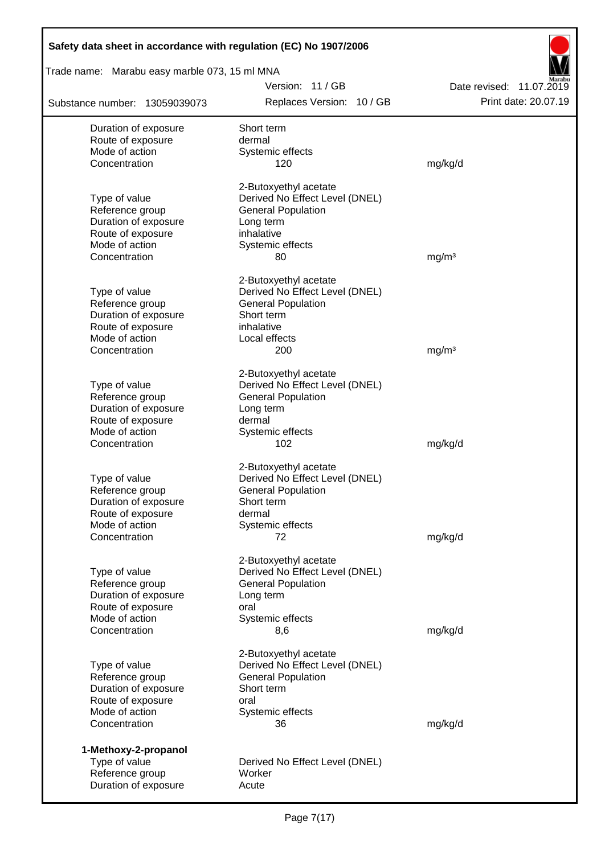| Safety data sheet in accordance with regulation (EC) No 1907/2006 |                                                             |                                                  |  |  |
|-------------------------------------------------------------------|-------------------------------------------------------------|--------------------------------------------------|--|--|
| Trade name: Marabu easy marble 073, 15 ml MNA                     |                                                             |                                                  |  |  |
| Substance number: 13059039073                                     | Version: 11/GB<br>Replaces Version: 10 / GB                 | Date revised: 11.07.2019<br>Print date: 20.07.19 |  |  |
|                                                                   |                                                             |                                                  |  |  |
| Duration of exposure                                              | Short term                                                  |                                                  |  |  |
| Route of exposure                                                 | dermal                                                      |                                                  |  |  |
| Mode of action<br>Concentration                                   | Systemic effects<br>120                                     | mg/kg/d                                          |  |  |
|                                                                   |                                                             |                                                  |  |  |
|                                                                   | 2-Butoxyethyl acetate                                       |                                                  |  |  |
| Type of value                                                     | Derived No Effect Level (DNEL)                              |                                                  |  |  |
| Reference group                                                   | <b>General Population</b>                                   |                                                  |  |  |
| Duration of exposure                                              | Long term                                                   |                                                  |  |  |
| Route of exposure                                                 | inhalative                                                  |                                                  |  |  |
| Mode of action                                                    | Systemic effects                                            |                                                  |  |  |
| Concentration                                                     | 80                                                          | mg/m <sup>3</sup>                                |  |  |
|                                                                   | 2-Butoxyethyl acetate                                       |                                                  |  |  |
| Type of value                                                     | Derived No Effect Level (DNEL)                              |                                                  |  |  |
| Reference group                                                   | <b>General Population</b>                                   |                                                  |  |  |
| Duration of exposure                                              | Short term                                                  |                                                  |  |  |
| Route of exposure                                                 | inhalative                                                  |                                                  |  |  |
| Mode of action                                                    | Local effects                                               |                                                  |  |  |
| Concentration                                                     | 200                                                         | mg/m <sup>3</sup>                                |  |  |
|                                                                   | 2-Butoxyethyl acetate                                       |                                                  |  |  |
| Type of value                                                     | Derived No Effect Level (DNEL)                              |                                                  |  |  |
| Reference group                                                   | <b>General Population</b>                                   |                                                  |  |  |
| Duration of exposure                                              | Long term                                                   |                                                  |  |  |
| Route of exposure                                                 | dermal                                                      |                                                  |  |  |
| Mode of action                                                    | Systemic effects                                            |                                                  |  |  |
| Concentration                                                     | 102                                                         | mg/kg/d                                          |  |  |
|                                                                   |                                                             |                                                  |  |  |
|                                                                   | 2-Butoxyethyl acetate                                       |                                                  |  |  |
| Type of value<br>Reference group                                  | Derived No Effect Level (DNEL)<br><b>General Population</b> |                                                  |  |  |
| Duration of exposure                                              | Short term                                                  |                                                  |  |  |
| Route of exposure                                                 | dermal                                                      |                                                  |  |  |
| Mode of action                                                    | Systemic effects                                            |                                                  |  |  |
| Concentration                                                     | 72                                                          | mg/kg/d                                          |  |  |
|                                                                   |                                                             |                                                  |  |  |
|                                                                   | 2-Butoxyethyl acetate                                       |                                                  |  |  |
| Type of value                                                     | Derived No Effect Level (DNEL)                              |                                                  |  |  |
| Reference group                                                   | <b>General Population</b>                                   |                                                  |  |  |
| Duration of exposure                                              | Long term                                                   |                                                  |  |  |
| Route of exposure                                                 | oral                                                        |                                                  |  |  |
| Mode of action                                                    | Systemic effects                                            |                                                  |  |  |
| Concentration                                                     | 8,6                                                         | mg/kg/d                                          |  |  |
|                                                                   | 2-Butoxyethyl acetate                                       |                                                  |  |  |
| Type of value                                                     | Derived No Effect Level (DNEL)                              |                                                  |  |  |
| Reference group                                                   | <b>General Population</b>                                   |                                                  |  |  |
| Duration of exposure                                              | Short term                                                  |                                                  |  |  |
| Route of exposure                                                 | oral                                                        |                                                  |  |  |
| Mode of action                                                    | Systemic effects                                            |                                                  |  |  |
| Concentration                                                     | 36                                                          | mg/kg/d                                          |  |  |
|                                                                   |                                                             |                                                  |  |  |
| 1-Methoxy-2-propanol                                              |                                                             |                                                  |  |  |
| Type of value<br>Reference group                                  | Derived No Effect Level (DNEL)<br>Worker                    |                                                  |  |  |
| Duration of exposure                                              | Acute                                                       |                                                  |  |  |
|                                                                   |                                                             |                                                  |  |  |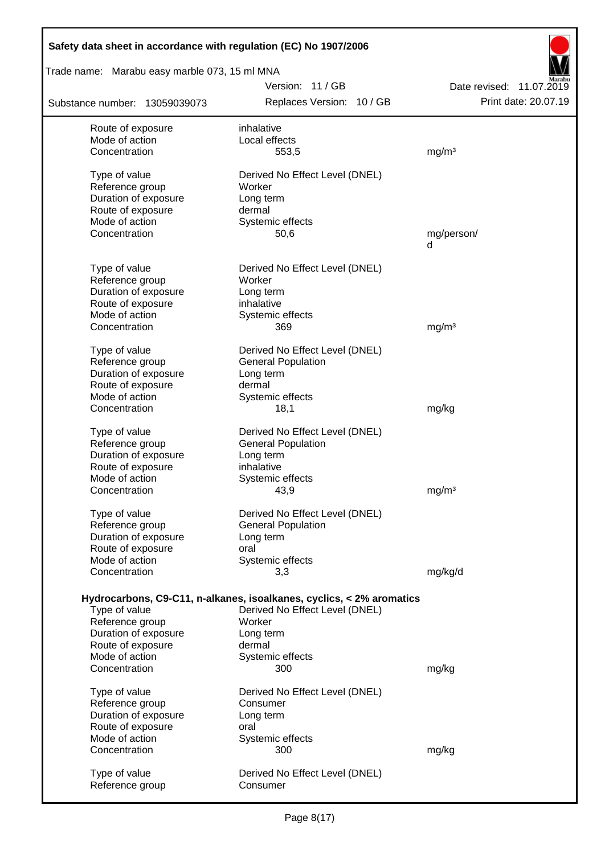| Safety data sheet in accordance with regulation (EC) No 1907/2006 |                                                                      |                          |  |  |  |
|-------------------------------------------------------------------|----------------------------------------------------------------------|--------------------------|--|--|--|
| Trade name: Marabu easy marble 073, 15 ml MNA                     |                                                                      |                          |  |  |  |
|                                                                   | Version: 11/GB                                                       | Date revised: 11.07.2019 |  |  |  |
| Substance number: 13059039073                                     | Replaces Version: 10 / GB                                            | Print date: 20.07.19     |  |  |  |
| Route of exposure                                                 | inhalative                                                           |                          |  |  |  |
| Mode of action                                                    | Local effects                                                        |                          |  |  |  |
| Concentration                                                     | 553,5                                                                | mg/m <sup>3</sup>        |  |  |  |
| Type of value                                                     | Derived No Effect Level (DNEL)                                       |                          |  |  |  |
| Reference group                                                   | Worker                                                               |                          |  |  |  |
| Duration of exposure                                              | Long term                                                            |                          |  |  |  |
| Route of exposure                                                 | dermal                                                               |                          |  |  |  |
| Mode of action                                                    | Systemic effects                                                     |                          |  |  |  |
| Concentration                                                     | 50,6                                                                 | mg/person/               |  |  |  |
|                                                                   |                                                                      | d                        |  |  |  |
| Type of value                                                     | Derived No Effect Level (DNEL)                                       |                          |  |  |  |
| Reference group                                                   | Worker                                                               |                          |  |  |  |
| Duration of exposure                                              | Long term                                                            |                          |  |  |  |
| Route of exposure                                                 | inhalative                                                           |                          |  |  |  |
| Mode of action                                                    | Systemic effects                                                     |                          |  |  |  |
| Concentration                                                     | 369                                                                  | mg/m <sup>3</sup>        |  |  |  |
|                                                                   |                                                                      |                          |  |  |  |
| Type of value                                                     | Derived No Effect Level (DNEL)                                       |                          |  |  |  |
| Reference group                                                   | <b>General Population</b>                                            |                          |  |  |  |
| Duration of exposure                                              | Long term                                                            |                          |  |  |  |
| Route of exposure                                                 | dermal                                                               |                          |  |  |  |
| Mode of action                                                    | Systemic effects                                                     |                          |  |  |  |
| Concentration                                                     | 18,1                                                                 | mg/kg                    |  |  |  |
| Type of value                                                     | Derived No Effect Level (DNEL)                                       |                          |  |  |  |
| Reference group                                                   | <b>General Population</b>                                            |                          |  |  |  |
| Duration of exposure                                              | Long term                                                            |                          |  |  |  |
| Route of exposure                                                 | inhalative                                                           |                          |  |  |  |
| Mode of action                                                    | Systemic effects                                                     |                          |  |  |  |
| Concentration                                                     | 43,9                                                                 | mg/m <sup>3</sup>        |  |  |  |
| Type of value                                                     | Derived No Effect Level (DNEL)                                       |                          |  |  |  |
| Reference group                                                   | <b>General Population</b>                                            |                          |  |  |  |
| Duration of exposure                                              | Long term                                                            |                          |  |  |  |
| Route of exposure                                                 | oral                                                                 |                          |  |  |  |
| Mode of action                                                    | Systemic effects                                                     |                          |  |  |  |
| Concentration                                                     | 3,3                                                                  | mg/kg/d                  |  |  |  |
|                                                                   |                                                                      |                          |  |  |  |
|                                                                   | Hydrocarbons, C9-C11, n-alkanes, isoalkanes, cyclics, < 2% aromatics |                          |  |  |  |
| Type of value                                                     | Derived No Effect Level (DNEL)                                       |                          |  |  |  |
| Reference group                                                   | Worker                                                               |                          |  |  |  |
| Duration of exposure                                              | Long term                                                            |                          |  |  |  |
| Route of exposure                                                 | dermal                                                               |                          |  |  |  |
| Mode of action                                                    | Systemic effects                                                     |                          |  |  |  |
| Concentration                                                     | 300                                                                  | mg/kg                    |  |  |  |
| Type of value                                                     | Derived No Effect Level (DNEL)                                       |                          |  |  |  |
| Reference group                                                   | Consumer                                                             |                          |  |  |  |
| Duration of exposure                                              | Long term                                                            |                          |  |  |  |
| Route of exposure                                                 | oral                                                                 |                          |  |  |  |
| Mode of action                                                    | Systemic effects                                                     |                          |  |  |  |
| Concentration                                                     | 300                                                                  | mg/kg                    |  |  |  |
|                                                                   |                                                                      |                          |  |  |  |
| Type of value                                                     | Derived No Effect Level (DNEL)<br>Consumer                           |                          |  |  |  |
| Reference group                                                   |                                                                      |                          |  |  |  |

 $\overline{\phantom{a}}$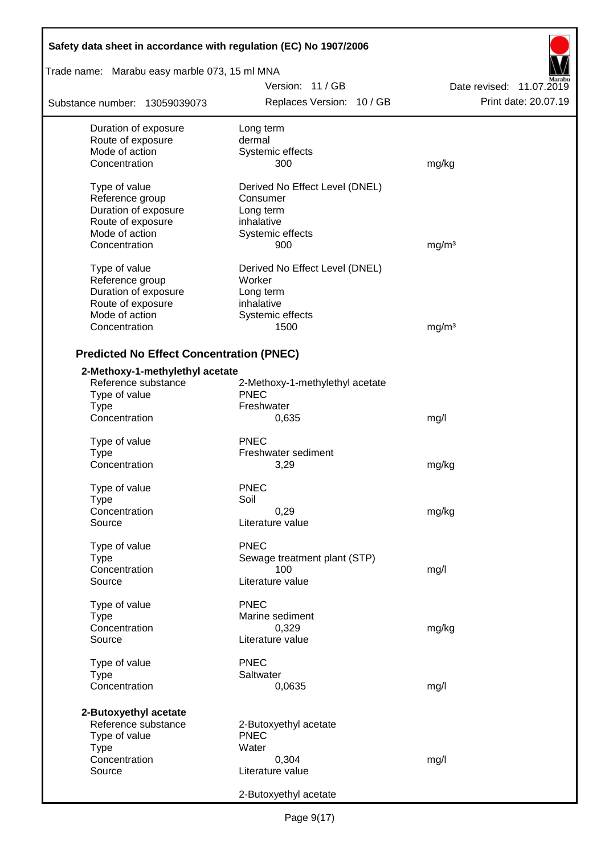| Safety data sheet in accordance with regulation (EC) No 1907/2006 |                                 |                          |
|-------------------------------------------------------------------|---------------------------------|--------------------------|
| Trade name: Marabu easy marble 073, 15 ml MNA                     |                                 |                          |
|                                                                   | Version: 11/GB                  | Date revised: 11.07.2019 |
| Substance number: 13059039073                                     | Replaces Version: 10 / GB       | Print date: 20.07.19     |
| Duration of exposure                                              | Long term                       |                          |
| Route of exposure                                                 | dermal                          |                          |
| Mode of action                                                    | Systemic effects                |                          |
| Concentration                                                     | 300                             | mg/kg                    |
| Type of value                                                     | Derived No Effect Level (DNEL)  |                          |
| Reference group                                                   | Consumer                        |                          |
| Duration of exposure                                              | Long term                       |                          |
| Route of exposure                                                 | inhalative                      |                          |
| Mode of action                                                    | Systemic effects                |                          |
| Concentration                                                     | 900                             | mg/m <sup>3</sup>        |
|                                                                   |                                 |                          |
| Type of value                                                     | Derived No Effect Level (DNEL)  |                          |
| Reference group                                                   | Worker                          |                          |
| Duration of exposure                                              | Long term                       |                          |
| Route of exposure                                                 | inhalative                      |                          |
| Mode of action                                                    | Systemic effects                |                          |
| Concentration                                                     | 1500                            | mg/m <sup>3</sup>        |
|                                                                   |                                 |                          |
| <b>Predicted No Effect Concentration (PNEC)</b>                   |                                 |                          |
| 2-Methoxy-1-methylethyl acetate                                   |                                 |                          |
| Reference substance                                               | 2-Methoxy-1-methylethyl acetate |                          |
| Type of value                                                     | <b>PNEC</b>                     |                          |
| <b>Type</b>                                                       | Freshwater                      |                          |
| Concentration                                                     | 0,635                           | mg/l                     |
| Type of value                                                     | <b>PNEC</b>                     |                          |
| Type                                                              | Freshwater sediment             |                          |
| Concentration                                                     | 3,29                            | mg/kg                    |
|                                                                   |                                 |                          |
| Type of value                                                     | <b>PNEC</b>                     |                          |
| Type                                                              | Soil                            |                          |
| Concentration                                                     | 0,29                            | mg/kg                    |
| Source                                                            | Literature value                |                          |
| Type of value                                                     | <b>PNEC</b>                     |                          |
| <b>Type</b>                                                       | Sewage treatment plant (STP)    |                          |
| Concentration                                                     | 100                             |                          |
| Source                                                            | Literature value                | mg/l                     |
|                                                                   |                                 |                          |
| Type of value                                                     | <b>PNEC</b>                     |                          |
| Type                                                              | Marine sediment                 |                          |
| Concentration                                                     | 0,329                           | mg/kg                    |
| Source                                                            | Literature value                |                          |
|                                                                   | <b>PNEC</b>                     |                          |
| Type of value                                                     |                                 |                          |
| <b>Type</b>                                                       | Saltwater                       |                          |
| Concentration                                                     | 0,0635                          | mg/l                     |
| 2-Butoxyethyl acetate                                             |                                 |                          |
| Reference substance                                               | 2-Butoxyethyl acetate           |                          |
| Type of value                                                     | <b>PNEC</b>                     |                          |
| <b>Type</b>                                                       | Water                           |                          |
| Concentration                                                     | 0,304                           | mg/l                     |
| Source                                                            | Literature value                |                          |
|                                                                   |                                 |                          |
|                                                                   | 2-Butoxyethyl acetate           |                          |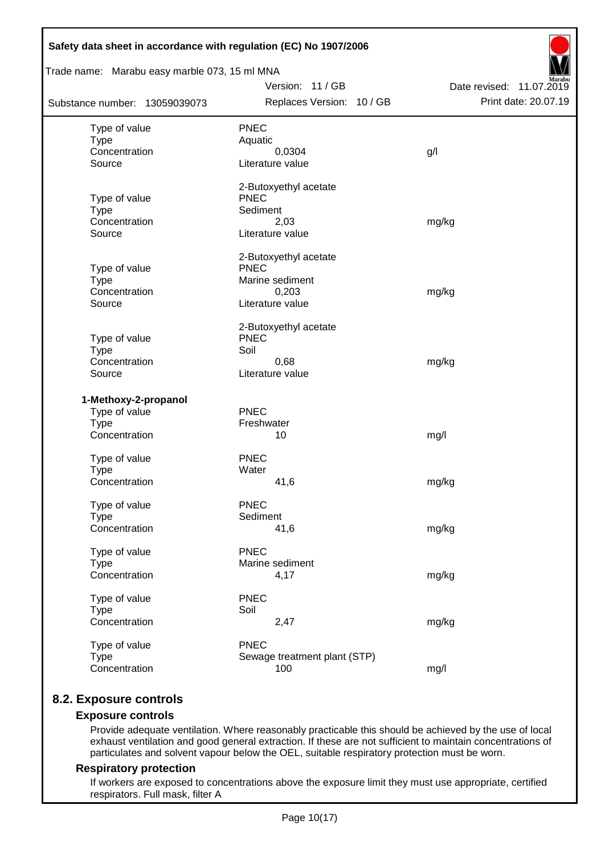| Trade name: Marabu easy marble 073, 15 ml MNA | Safety data sheet in accordance with regulation (EC) No 1907/2006 |                          |  |  |  |  |
|-----------------------------------------------|-------------------------------------------------------------------|--------------------------|--|--|--|--|
|                                               | Version: 11 / GB                                                  | Date revised: 11.07.2019 |  |  |  |  |
| Substance number: 13059039073                 | Replaces Version: 10 / GB                                         | Print date: 20.07.19     |  |  |  |  |
| Type of value                                 | <b>PNEC</b>                                                       |                          |  |  |  |  |
| <b>Type</b>                                   | Aquatic                                                           |                          |  |  |  |  |
| Concentration                                 | 0,0304                                                            | g/                       |  |  |  |  |
| Source                                        | Literature value                                                  |                          |  |  |  |  |
|                                               | 2-Butoxyethyl acetate                                             |                          |  |  |  |  |
| Type of value                                 | <b>PNEC</b>                                                       |                          |  |  |  |  |
| <b>Type</b>                                   | Sediment                                                          |                          |  |  |  |  |
| Concentration                                 | 2,03                                                              | mg/kg                    |  |  |  |  |
| Source                                        | Literature value                                                  |                          |  |  |  |  |
|                                               | 2-Butoxyethyl acetate                                             |                          |  |  |  |  |
| Type of value                                 | <b>PNEC</b>                                                       |                          |  |  |  |  |
| <b>Type</b><br>Concentration                  | Marine sediment                                                   |                          |  |  |  |  |
| Source                                        | 0,203<br>Literature value                                         | mg/kg                    |  |  |  |  |
|                                               |                                                                   |                          |  |  |  |  |
| Type of value                                 | 2-Butoxyethyl acetate<br><b>PNEC</b>                              |                          |  |  |  |  |
| <b>Type</b>                                   | Soil                                                              |                          |  |  |  |  |
| Concentration                                 | 0,68                                                              | mg/kg                    |  |  |  |  |
| Source                                        | Literature value                                                  |                          |  |  |  |  |
| 1-Methoxy-2-propanol                          |                                                                   |                          |  |  |  |  |
| Type of value                                 | <b>PNEC</b>                                                       |                          |  |  |  |  |
| <b>Type</b>                                   | Freshwater                                                        |                          |  |  |  |  |
| Concentration                                 | 10                                                                | mg/l                     |  |  |  |  |
|                                               |                                                                   |                          |  |  |  |  |
| Type of value                                 | <b>PNEC</b>                                                       |                          |  |  |  |  |
| <b>Type</b>                                   | Water                                                             |                          |  |  |  |  |
| Concentration                                 | 41,6                                                              | mg/kg                    |  |  |  |  |
| Type of value                                 | <b>PNEC</b>                                                       |                          |  |  |  |  |
| <b>Type</b>                                   | Sediment                                                          |                          |  |  |  |  |
| Concentration                                 | 41,6                                                              | mg/kg                    |  |  |  |  |
| Type of value                                 | <b>PNEC</b>                                                       |                          |  |  |  |  |
| <b>Type</b>                                   | Marine sediment                                                   |                          |  |  |  |  |
| Concentration                                 | 4,17                                                              | mg/kg                    |  |  |  |  |
| Type of value                                 | <b>PNEC</b>                                                       |                          |  |  |  |  |
| <b>Type</b>                                   | Soil                                                              |                          |  |  |  |  |
| Concentration                                 | 2,47                                                              | mg/kg                    |  |  |  |  |
| Type of value                                 | <b>PNEC</b>                                                       |                          |  |  |  |  |
| <b>Type</b>                                   | Sewage treatment plant (STP)                                      |                          |  |  |  |  |
| Concentration                                 | 100                                                               | mg/l                     |  |  |  |  |
|                                               |                                                                   |                          |  |  |  |  |

## **8.2. Exposure controls**

## **Exposure controls**

Provide adequate ventilation. Where reasonably practicable this should be achieved by the use of local exhaust ventilation and good general extraction. If these are not sufficient to maintain concentrations of particulates and solvent vapour below the OEL, suitable respiratory protection must be worn.

#### **Respiratory protection**

If workers are exposed to concentrations above the exposure limit they must use appropriate, certified respirators. Full mask, filter A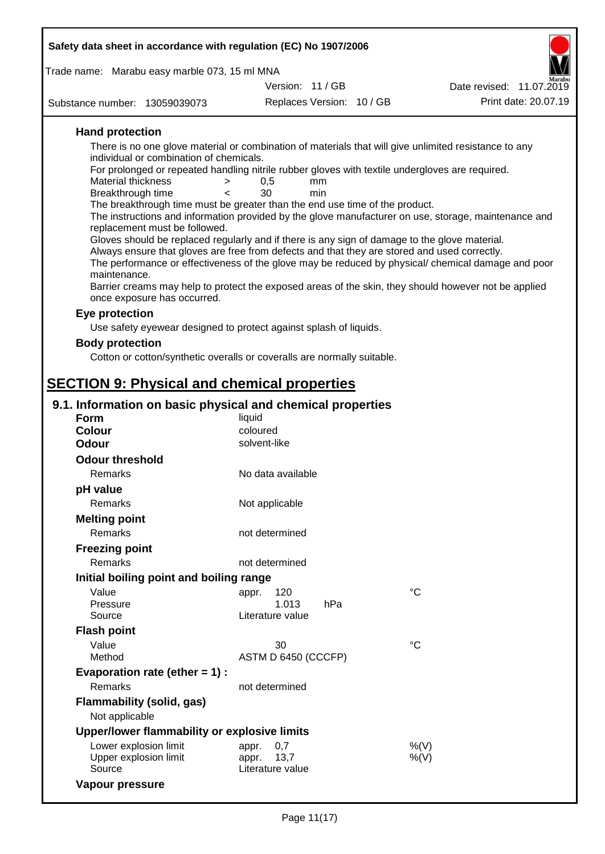| Safety data sheet in accordance with regulation (EC) No 1907/2006                                                                                                                                                                                                                                                                                                                                                                                                                                                                                                                                                                                                                                                                                                                                                                                                                                                                                                                                                                                                                                                                                                                                                        |                                   |           |                 |                          |
|--------------------------------------------------------------------------------------------------------------------------------------------------------------------------------------------------------------------------------------------------------------------------------------------------------------------------------------------------------------------------------------------------------------------------------------------------------------------------------------------------------------------------------------------------------------------------------------------------------------------------------------------------------------------------------------------------------------------------------------------------------------------------------------------------------------------------------------------------------------------------------------------------------------------------------------------------------------------------------------------------------------------------------------------------------------------------------------------------------------------------------------------------------------------------------------------------------------------------|-----------------------------------|-----------|-----------------|--------------------------|
| Trade name: Marabu easy marble 073, 15 ml MNA                                                                                                                                                                                                                                                                                                                                                                                                                                                                                                                                                                                                                                                                                                                                                                                                                                                                                                                                                                                                                                                                                                                                                                            |                                   |           |                 |                          |
|                                                                                                                                                                                                                                                                                                                                                                                                                                                                                                                                                                                                                                                                                                                                                                                                                                                                                                                                                                                                                                                                                                                                                                                                                          | Version: 11 / GB                  |           |                 | Date revised: 11.07.2019 |
| Substance number: 13059039073                                                                                                                                                                                                                                                                                                                                                                                                                                                                                                                                                                                                                                                                                                                                                                                                                                                                                                                                                                                                                                                                                                                                                                                            | Replaces Version: 10 / GB         |           |                 | Print date: 20.07.19     |
| <b>Hand protection</b><br>There is no one glove material or combination of materials that will give unlimited resistance to any<br>individual or combination of chemicals.<br>For prolonged or repeated handling nitrile rubber gloves with textile undergloves are required.<br>Material thickness<br>><br>Breakthrough time<br>$\lt$<br>The breakthrough time must be greater than the end use time of the product.<br>The instructions and information provided by the glove manufacturer on use, storage, maintenance and<br>replacement must be followed.<br>Gloves should be replaced regularly and if there is any sign of damage to the glove material.<br>Always ensure that gloves are free from defects and that they are stored and used correctly.<br>The performance or effectiveness of the glove may be reduced by physical/ chemical damage and poor<br>maintenance.<br>Barrier creams may help to protect the exposed areas of the skin, they should however not be applied<br>once exposure has occurred.<br>Eye protection<br>Use safety eyewear designed to protect against splash of liquids.<br><b>Body protection</b><br>Cotton or cotton/synthetic overalls or coveralls are normally suitable. | 0,5<br>30                         | mm<br>min |                 |                          |
| <b>SECTION 9: Physical and chemical properties</b>                                                                                                                                                                                                                                                                                                                                                                                                                                                                                                                                                                                                                                                                                                                                                                                                                                                                                                                                                                                                                                                                                                                                                                       |                                   |           |                 |                          |
| 9.1. Information on basic physical and chemical properties<br><b>Form</b>                                                                                                                                                                                                                                                                                                                                                                                                                                                                                                                                                                                                                                                                                                                                                                                                                                                                                                                                                                                                                                                                                                                                                | liquid                            |           |                 |                          |
| <b>Colour</b>                                                                                                                                                                                                                                                                                                                                                                                                                                                                                                                                                                                                                                                                                                                                                                                                                                                                                                                                                                                                                                                                                                                                                                                                            | coloured                          |           |                 |                          |
| <b>Odour</b>                                                                                                                                                                                                                                                                                                                                                                                                                                                                                                                                                                                                                                                                                                                                                                                                                                                                                                                                                                                                                                                                                                                                                                                                             | solvent-like                      |           |                 |                          |
| <b>Odour threshold</b>                                                                                                                                                                                                                                                                                                                                                                                                                                                                                                                                                                                                                                                                                                                                                                                                                                                                                                                                                                                                                                                                                                                                                                                                   |                                   |           |                 |                          |
| Remarks                                                                                                                                                                                                                                                                                                                                                                                                                                                                                                                                                                                                                                                                                                                                                                                                                                                                                                                                                                                                                                                                                                                                                                                                                  | No data available                 |           |                 |                          |
| pH value                                                                                                                                                                                                                                                                                                                                                                                                                                                                                                                                                                                                                                                                                                                                                                                                                                                                                                                                                                                                                                                                                                                                                                                                                 |                                   |           |                 |                          |
| Remarks                                                                                                                                                                                                                                                                                                                                                                                                                                                                                                                                                                                                                                                                                                                                                                                                                                                                                                                                                                                                                                                                                                                                                                                                                  | Not applicable                    |           |                 |                          |
| <b>Melting point</b>                                                                                                                                                                                                                                                                                                                                                                                                                                                                                                                                                                                                                                                                                                                                                                                                                                                                                                                                                                                                                                                                                                                                                                                                     |                                   |           |                 |                          |
| Remarks                                                                                                                                                                                                                                                                                                                                                                                                                                                                                                                                                                                                                                                                                                                                                                                                                                                                                                                                                                                                                                                                                                                                                                                                                  | not determined                    |           |                 |                          |
| <b>Freezing point</b>                                                                                                                                                                                                                                                                                                                                                                                                                                                                                                                                                                                                                                                                                                                                                                                                                                                                                                                                                                                                                                                                                                                                                                                                    |                                   |           |                 |                          |
| <b>Remarks</b>                                                                                                                                                                                                                                                                                                                                                                                                                                                                                                                                                                                                                                                                                                                                                                                                                                                                                                                                                                                                                                                                                                                                                                                                           | not determined                    |           |                 |                          |
| Initial boiling point and boiling range                                                                                                                                                                                                                                                                                                                                                                                                                                                                                                                                                                                                                                                                                                                                                                                                                                                                                                                                                                                                                                                                                                                                                                                  |                                   |           |                 |                          |
| Value                                                                                                                                                                                                                                                                                                                                                                                                                                                                                                                                                                                                                                                                                                                                                                                                                                                                                                                                                                                                                                                                                                                                                                                                                    |                                   |           | $^{\circ}C$     |                          |
| Pressure                                                                                                                                                                                                                                                                                                                                                                                                                                                                                                                                                                                                                                                                                                                                                                                                                                                                                                                                                                                                                                                                                                                                                                                                                 | 120<br>appr.<br>1.013             | hPa       |                 |                          |
| Source                                                                                                                                                                                                                                                                                                                                                                                                                                                                                                                                                                                                                                                                                                                                                                                                                                                                                                                                                                                                                                                                                                                                                                                                                   | Literature value                  |           |                 |                          |
| <b>Flash point</b>                                                                                                                                                                                                                                                                                                                                                                                                                                                                                                                                                                                                                                                                                                                                                                                                                                                                                                                                                                                                                                                                                                                                                                                                       |                                   |           |                 |                          |
| Value                                                                                                                                                                                                                                                                                                                                                                                                                                                                                                                                                                                                                                                                                                                                                                                                                                                                                                                                                                                                                                                                                                                                                                                                                    | 30                                |           | $\rm ^{\circ}C$ |                          |
| Method                                                                                                                                                                                                                                                                                                                                                                                                                                                                                                                                                                                                                                                                                                                                                                                                                                                                                                                                                                                                                                                                                                                                                                                                                   | ASTM D 6450 (CCCFP)               |           |                 |                          |
| Evaporation rate (ether $= 1$ ) :                                                                                                                                                                                                                                                                                                                                                                                                                                                                                                                                                                                                                                                                                                                                                                                                                                                                                                                                                                                                                                                                                                                                                                                        |                                   |           |                 |                          |
| Remarks                                                                                                                                                                                                                                                                                                                                                                                                                                                                                                                                                                                                                                                                                                                                                                                                                                                                                                                                                                                                                                                                                                                                                                                                                  | not determined                    |           |                 |                          |
| <b>Flammability (solid, gas)</b>                                                                                                                                                                                                                                                                                                                                                                                                                                                                                                                                                                                                                                                                                                                                                                                                                                                                                                                                                                                                                                                                                                                                                                                         |                                   |           |                 |                          |
| Not applicable                                                                                                                                                                                                                                                                                                                                                                                                                                                                                                                                                                                                                                                                                                                                                                                                                                                                                                                                                                                                                                                                                                                                                                                                           |                                   |           |                 |                          |
| Upper/lower flammability or explosive limits                                                                                                                                                                                                                                                                                                                                                                                                                                                                                                                                                                                                                                                                                                                                                                                                                                                                                                                                                                                                                                                                                                                                                                             |                                   |           |                 |                          |
| Lower explosion limit                                                                                                                                                                                                                                                                                                                                                                                                                                                                                                                                                                                                                                                                                                                                                                                                                                                                                                                                                                                                                                                                                                                                                                                                    | 0,7<br>appr.                      |           |                 | %(V)                     |
| Upper explosion limit<br>Source                                                                                                                                                                                                                                                                                                                                                                                                                                                                                                                                                                                                                                                                                                                                                                                                                                                                                                                                                                                                                                                                                                                                                                                          | 13,7<br>appr.<br>Literature value |           |                 | $%$ (V)                  |

**Vapour pressure**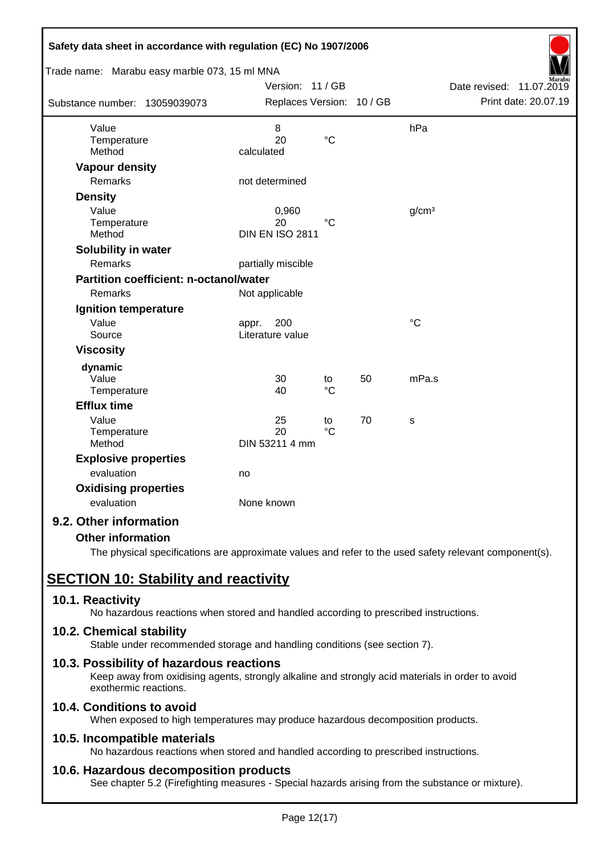| Safety data sheet in accordance with regulation (EC) No 1907/2006 |                           |                 |    |                   |                                                     |
|-------------------------------------------------------------------|---------------------------|-----------------|----|-------------------|-----------------------------------------------------|
| Trade name: Marabu easy marble 073, 15 ml MNA                     |                           |                 |    |                   |                                                     |
|                                                                   | Version: 11 / GB          |                 |    |                   | Date revised:<br>11.07.2019<br>Print date: 20.07.19 |
| Substance number: 13059039073                                     | Replaces Version: 10 / GB |                 |    |                   |                                                     |
| Value                                                             | 8                         |                 |    | hPa               |                                                     |
| Temperature                                                       | 20                        | $\rm ^{\circ}C$ |    |                   |                                                     |
| Method                                                            | calculated                |                 |    |                   |                                                     |
| <b>Vapour density</b>                                             |                           |                 |    |                   |                                                     |
| <b>Remarks</b>                                                    | not determined            |                 |    |                   |                                                     |
| <b>Density</b>                                                    |                           |                 |    |                   |                                                     |
| Value                                                             | 0,960                     |                 |    | g/cm <sup>3</sup> |                                                     |
| Temperature                                                       | 20                        | $^{\circ}C$     |    |                   |                                                     |
| Method                                                            | <b>DIN EN ISO 2811</b>    |                 |    |                   |                                                     |
| Solubility in water                                               |                           |                 |    |                   |                                                     |
| Remarks                                                           | partially miscible        |                 |    |                   |                                                     |
| <b>Partition coefficient: n-octanol/water</b>                     |                           |                 |    |                   |                                                     |
| Remarks                                                           | Not applicable            |                 |    |                   |                                                     |
| <b>Ignition temperature</b>                                       |                           |                 |    |                   |                                                     |
| Value                                                             | 200<br>appr.              |                 |    | $\rm ^{\circ}C$   |                                                     |
| Source                                                            | Literature value          |                 |    |                   |                                                     |
| <b>Viscosity</b>                                                  |                           |                 |    |                   |                                                     |
| dynamic                                                           |                           |                 |    |                   |                                                     |
| Value                                                             | 30                        | to              | 50 | mPa.s             |                                                     |
| Temperature                                                       | 40                        | $\rm ^{\circ}C$ |    |                   |                                                     |
| <b>Efflux time</b>                                                |                           |                 |    |                   |                                                     |
| Value                                                             | 25                        | to              | 70 | S                 |                                                     |
| Temperature<br>Method                                             | 20<br>DIN 53211 4 mm      | $\rm ^{\circ}C$ |    |                   |                                                     |
|                                                                   |                           |                 |    |                   |                                                     |
| <b>Explosive properties</b><br>evaluation                         | no                        |                 |    |                   |                                                     |
|                                                                   |                           |                 |    |                   |                                                     |
| <b>Oxidising properties</b>                                       |                           |                 |    |                   |                                                     |
| evaluation                                                        | None known                |                 |    |                   |                                                     |
| 9.2. Other information                                            |                           |                 |    |                   |                                                     |

## **Other information**

The physical specifications are approximate values and refer to the used safety relevant component(s).

# **SECTION 10: Stability and reactivity**

## **10.1. Reactivity**

No hazardous reactions when stored and handled according to prescribed instructions.

## **10.2. Chemical stability**

Stable under recommended storage and handling conditions (see section 7).

## **10.3. Possibility of hazardous reactions**

Keep away from oxidising agents, strongly alkaline and strongly acid materials in order to avoid exothermic reactions.

## **10.4. Conditions to avoid**

When exposed to high temperatures may produce hazardous decomposition products.

## **10.5. Incompatible materials**

No hazardous reactions when stored and handled according to prescribed instructions.

## **10.6. Hazardous decomposition products**

See chapter 5.2 (Firefighting measures - Special hazards arising from the substance or mixture).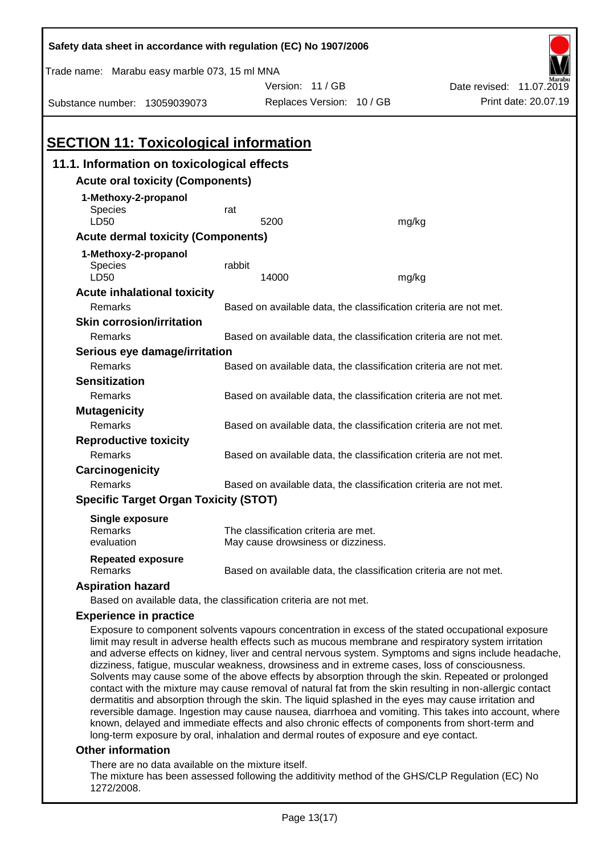| Safety data sheet in accordance with regulation (EC) No 1907/2006                                                                                                                                                                                                                                                                                                                                                                                                                                                                                                                                                                                                                                                                                |                                                                   |                                                                   |       |                                                                                                       |
|--------------------------------------------------------------------------------------------------------------------------------------------------------------------------------------------------------------------------------------------------------------------------------------------------------------------------------------------------------------------------------------------------------------------------------------------------------------------------------------------------------------------------------------------------------------------------------------------------------------------------------------------------------------------------------------------------------------------------------------------------|-------------------------------------------------------------------|-------------------------------------------------------------------|-------|-------------------------------------------------------------------------------------------------------|
| Trade name: Marabu easy marble 073, 15 ml MNA                                                                                                                                                                                                                                                                                                                                                                                                                                                                                                                                                                                                                                                                                                    |                                                                   |                                                                   |       |                                                                                                       |
|                                                                                                                                                                                                                                                                                                                                                                                                                                                                                                                                                                                                                                                                                                                                                  |                                                                   | Version: 11/GB                                                    |       | Date revised: 11.07.2019                                                                              |
| Substance number: 13059039073                                                                                                                                                                                                                                                                                                                                                                                                                                                                                                                                                                                                                                                                                                                    |                                                                   | Replaces Version: 10 / GB                                         |       | Print date: 20.07.19                                                                                  |
|                                                                                                                                                                                                                                                                                                                                                                                                                                                                                                                                                                                                                                                                                                                                                  |                                                                   |                                                                   |       |                                                                                                       |
| <b>SECTION 11: Toxicological information</b>                                                                                                                                                                                                                                                                                                                                                                                                                                                                                                                                                                                                                                                                                                     |                                                                   |                                                                   |       |                                                                                                       |
| 11.1. Information on toxicological effects                                                                                                                                                                                                                                                                                                                                                                                                                                                                                                                                                                                                                                                                                                       |                                                                   |                                                                   |       |                                                                                                       |
| <b>Acute oral toxicity (Components)</b>                                                                                                                                                                                                                                                                                                                                                                                                                                                                                                                                                                                                                                                                                                          |                                                                   |                                                                   |       |                                                                                                       |
| 1-Methoxy-2-propanol                                                                                                                                                                                                                                                                                                                                                                                                                                                                                                                                                                                                                                                                                                                             |                                                                   |                                                                   |       |                                                                                                       |
| Species                                                                                                                                                                                                                                                                                                                                                                                                                                                                                                                                                                                                                                                                                                                                          | rat                                                               |                                                                   |       |                                                                                                       |
| LD50                                                                                                                                                                                                                                                                                                                                                                                                                                                                                                                                                                                                                                                                                                                                             |                                                                   | 5200                                                              | mg/kg |                                                                                                       |
| <b>Acute dermal toxicity (Components)</b>                                                                                                                                                                                                                                                                                                                                                                                                                                                                                                                                                                                                                                                                                                        |                                                                   |                                                                   |       |                                                                                                       |
| 1-Methoxy-2-propanol                                                                                                                                                                                                                                                                                                                                                                                                                                                                                                                                                                                                                                                                                                                             |                                                                   |                                                                   |       |                                                                                                       |
| Species<br>LD50                                                                                                                                                                                                                                                                                                                                                                                                                                                                                                                                                                                                                                                                                                                                  | rabbit                                                            | 14000                                                             |       |                                                                                                       |
| <b>Acute inhalational toxicity</b>                                                                                                                                                                                                                                                                                                                                                                                                                                                                                                                                                                                                                                                                                                               |                                                                   |                                                                   | mg/kg |                                                                                                       |
| Remarks                                                                                                                                                                                                                                                                                                                                                                                                                                                                                                                                                                                                                                                                                                                                          |                                                                   | Based on available data, the classification criteria are not met. |       |                                                                                                       |
| <b>Skin corrosion/irritation</b>                                                                                                                                                                                                                                                                                                                                                                                                                                                                                                                                                                                                                                                                                                                 |                                                                   |                                                                   |       |                                                                                                       |
| Remarks                                                                                                                                                                                                                                                                                                                                                                                                                                                                                                                                                                                                                                                                                                                                          |                                                                   |                                                                   |       |                                                                                                       |
| Based on available data, the classification criteria are not met.<br>Serious eye damage/irritation                                                                                                                                                                                                                                                                                                                                                                                                                                                                                                                                                                                                                                               |                                                                   |                                                                   |       |                                                                                                       |
| Remarks                                                                                                                                                                                                                                                                                                                                                                                                                                                                                                                                                                                                                                                                                                                                          |                                                                   | Based on available data, the classification criteria are not met. |       |                                                                                                       |
| <b>Sensitization</b>                                                                                                                                                                                                                                                                                                                                                                                                                                                                                                                                                                                                                                                                                                                             |                                                                   |                                                                   |       |                                                                                                       |
| Remarks                                                                                                                                                                                                                                                                                                                                                                                                                                                                                                                                                                                                                                                                                                                                          |                                                                   | Based on available data, the classification criteria are not met. |       |                                                                                                       |
| <b>Mutagenicity</b>                                                                                                                                                                                                                                                                                                                                                                                                                                                                                                                                                                                                                                                                                                                              |                                                                   |                                                                   |       |                                                                                                       |
| Remarks                                                                                                                                                                                                                                                                                                                                                                                                                                                                                                                                                                                                                                                                                                                                          | Based on available data, the classification criteria are not met. |                                                                   |       |                                                                                                       |
| <b>Reproductive toxicity</b>                                                                                                                                                                                                                                                                                                                                                                                                                                                                                                                                                                                                                                                                                                                     |                                                                   |                                                                   |       |                                                                                                       |
| Remarks                                                                                                                                                                                                                                                                                                                                                                                                                                                                                                                                                                                                                                                                                                                                          |                                                                   | Based on available data, the classification criteria are not met. |       |                                                                                                       |
| Carcinogenicity                                                                                                                                                                                                                                                                                                                                                                                                                                                                                                                                                                                                                                                                                                                                  |                                                                   |                                                                   |       |                                                                                                       |
| Remarks                                                                                                                                                                                                                                                                                                                                                                                                                                                                                                                                                                                                                                                                                                                                          |                                                                   | Based on available data, the classification criteria are not met. |       |                                                                                                       |
| <b>Specific Target Organ Toxicity (STOT)</b>                                                                                                                                                                                                                                                                                                                                                                                                                                                                                                                                                                                                                                                                                                     |                                                                   |                                                                   |       |                                                                                                       |
| <b>Single exposure</b>                                                                                                                                                                                                                                                                                                                                                                                                                                                                                                                                                                                                                                                                                                                           |                                                                   |                                                                   |       |                                                                                                       |
| Remarks                                                                                                                                                                                                                                                                                                                                                                                                                                                                                                                                                                                                                                                                                                                                          |                                                                   | The classification criteria are met.                              |       |                                                                                                       |
| evaluation                                                                                                                                                                                                                                                                                                                                                                                                                                                                                                                                                                                                                                                                                                                                       |                                                                   | May cause drowsiness or dizziness.                                |       |                                                                                                       |
| <b>Repeated exposure</b><br>Remarks                                                                                                                                                                                                                                                                                                                                                                                                                                                                                                                                                                                                                                                                                                              |                                                                   | Based on available data, the classification criteria are not met. |       |                                                                                                       |
| <b>Aspiration hazard</b>                                                                                                                                                                                                                                                                                                                                                                                                                                                                                                                                                                                                                                                                                                                         |                                                                   |                                                                   |       |                                                                                                       |
| Based on available data, the classification criteria are not met.                                                                                                                                                                                                                                                                                                                                                                                                                                                                                                                                                                                                                                                                                |                                                                   |                                                                   |       |                                                                                                       |
| <b>Experience in practice</b>                                                                                                                                                                                                                                                                                                                                                                                                                                                                                                                                                                                                                                                                                                                    |                                                                   |                                                                   |       |                                                                                                       |
| Exposure to component solvents vapours concentration in excess of the stated occupational exposure<br>limit may result in adverse health effects such as mucous membrane and respiratory system irritation<br>and adverse effects on kidney, liver and central nervous system. Symptoms and signs include headache,<br>dizziness, fatigue, muscular weakness, drowsiness and in extreme cases, loss of consciousness.<br>Solvents may cause some of the above effects by absorption through the skin. Repeated or prolonged<br>contact with the mixture may cause removal of natural fat from the skin resulting in non-allergic contact<br>dermatitis and absorption through the skin. The liquid splashed in the eyes may cause irritation and |                                                                   |                                                                   |       | reversible damage. Ingestion may cause nausea, diarrhoea and vomiting. This takes into account, where |

#### **Other information**

There are no data available on the mixture itself.

The mixture has been assessed following the additivity method of the GHS/CLP Regulation (EC) No 1272/2008.

known, delayed and immediate effects and also chronic effects of components from short-term and

long-term exposure by oral, inhalation and dermal routes of exposure and eye contact.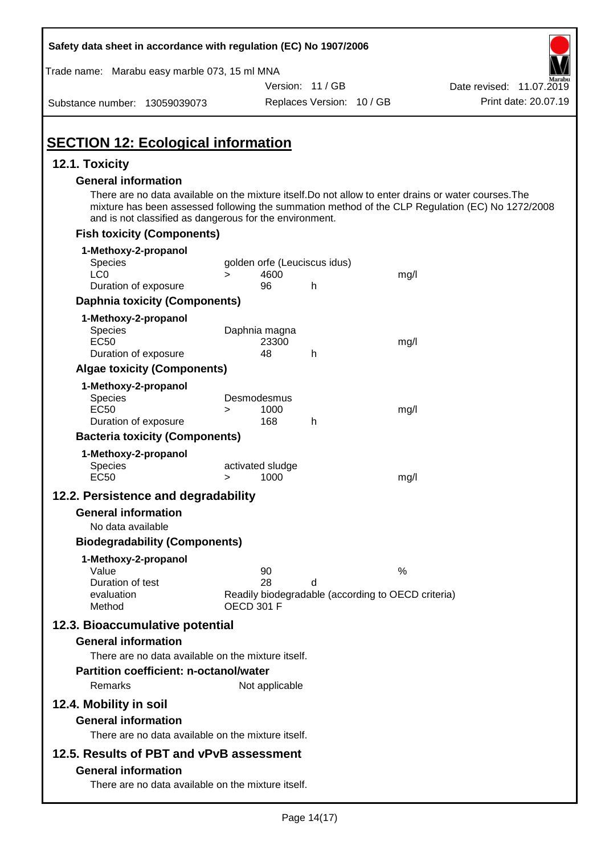| Safety data sheet in accordance with regulation (EC) No 1907/2006                                                                                                                                                                                                    |                                                                         |                           |      |                          |
|----------------------------------------------------------------------------------------------------------------------------------------------------------------------------------------------------------------------------------------------------------------------|-------------------------------------------------------------------------|---------------------------|------|--------------------------|
| Trade name: Marabu easy marble 073, 15 ml MNA                                                                                                                                                                                                                        |                                                                         |                           |      |                          |
|                                                                                                                                                                                                                                                                      |                                                                         | Version: 11 / GB          |      | Date revised: 11.07.2019 |
| Substance number: 13059039073                                                                                                                                                                                                                                        |                                                                         | Replaces Version: 10 / GB |      | Print date: 20.07.19     |
| <b>SECTION 12: Ecological information</b>                                                                                                                                                                                                                            |                                                                         |                           |      |                          |
| 12.1. Toxicity                                                                                                                                                                                                                                                       |                                                                         |                           |      |                          |
| <b>General information</b>                                                                                                                                                                                                                                           |                                                                         |                           |      |                          |
| There are no data available on the mixture itself. Do not allow to enter drains or water courses. The<br>mixture has been assessed following the summation method of the CLP Regulation (EC) No 1272/2008<br>and is not classified as dangerous for the environment. |                                                                         |                           |      |                          |
| <b>Fish toxicity (Components)</b>                                                                                                                                                                                                                                    |                                                                         |                           |      |                          |
| 1-Methoxy-2-propanol                                                                                                                                                                                                                                                 |                                                                         |                           |      |                          |
| Species                                                                                                                                                                                                                                                              | golden orfe (Leuciscus idus)                                            |                           |      |                          |
| LC <sub>0</sub><br>Duration of exposure                                                                                                                                                                                                                              | 4600<br>$\geq$<br>96                                                    | h                         | mg/l |                          |
| <b>Daphnia toxicity (Components)</b>                                                                                                                                                                                                                                 |                                                                         |                           |      |                          |
|                                                                                                                                                                                                                                                                      |                                                                         |                           |      |                          |
| 1-Methoxy-2-propanol<br><b>Species</b>                                                                                                                                                                                                                               | Daphnia magna                                                           |                           |      |                          |
| <b>EC50</b>                                                                                                                                                                                                                                                          | 23300                                                                   |                           | mg/l |                          |
| Duration of exposure                                                                                                                                                                                                                                                 | 48                                                                      | h                         |      |                          |
| <b>Algae toxicity (Components)</b>                                                                                                                                                                                                                                   |                                                                         |                           |      |                          |
| 1-Methoxy-2-propanol                                                                                                                                                                                                                                                 |                                                                         |                           |      |                          |
| Species                                                                                                                                                                                                                                                              | Desmodesmus                                                             |                           |      |                          |
| <b>EC50</b>                                                                                                                                                                                                                                                          | 1000<br>><br>168                                                        | h                         | mg/l |                          |
| Duration of exposure                                                                                                                                                                                                                                                 |                                                                         |                           |      |                          |
| <b>Bacteria toxicity (Components)</b>                                                                                                                                                                                                                                |                                                                         |                           |      |                          |
| 1-Methoxy-2-propanol<br><b>Species</b>                                                                                                                                                                                                                               | activated sludge                                                        |                           |      |                          |
| <b>EC50</b>                                                                                                                                                                                                                                                          | 1000<br>>                                                               |                           | mg/l |                          |
| 12.2. Persistence and degradability                                                                                                                                                                                                                                  |                                                                         |                           |      |                          |
| <b>General information</b>                                                                                                                                                                                                                                           |                                                                         |                           |      |                          |
| No data available                                                                                                                                                                                                                                                    |                                                                         |                           |      |                          |
| <b>Biodegradability (Components)</b>                                                                                                                                                                                                                                 |                                                                         |                           |      |                          |
| 1-Methoxy-2-propanol                                                                                                                                                                                                                                                 |                                                                         |                           |      |                          |
| Value                                                                                                                                                                                                                                                                | 90                                                                      |                           | %    |                          |
| Duration of test                                                                                                                                                                                                                                                     | 28                                                                      | d                         |      |                          |
| evaluation<br>Method                                                                                                                                                                                                                                                 | Readily biodegradable (according to OECD criteria)<br><b>OECD 301 F</b> |                           |      |                          |
| 12.3. Bioaccumulative potential                                                                                                                                                                                                                                      |                                                                         |                           |      |                          |
| <b>General information</b>                                                                                                                                                                                                                                           |                                                                         |                           |      |                          |
| There are no data available on the mixture itself.                                                                                                                                                                                                                   |                                                                         |                           |      |                          |
| Partition coefficient: n-octanol/water                                                                                                                                                                                                                               |                                                                         |                           |      |                          |
| Remarks                                                                                                                                                                                                                                                              | Not applicable                                                          |                           |      |                          |
|                                                                                                                                                                                                                                                                      |                                                                         |                           |      |                          |
| 12.4. Mobility in soil                                                                                                                                                                                                                                               |                                                                         |                           |      |                          |
| <b>General information</b>                                                                                                                                                                                                                                           |                                                                         |                           |      |                          |
| There are no data available on the mixture itself.                                                                                                                                                                                                                   |                                                                         |                           |      |                          |
| 12.5. Results of PBT and vPvB assessment                                                                                                                                                                                                                             |                                                                         |                           |      |                          |
| <b>General information</b>                                                                                                                                                                                                                                           |                                                                         |                           |      |                          |
| There are no data available on the mixture itself.                                                                                                                                                                                                                   |                                                                         |                           |      |                          |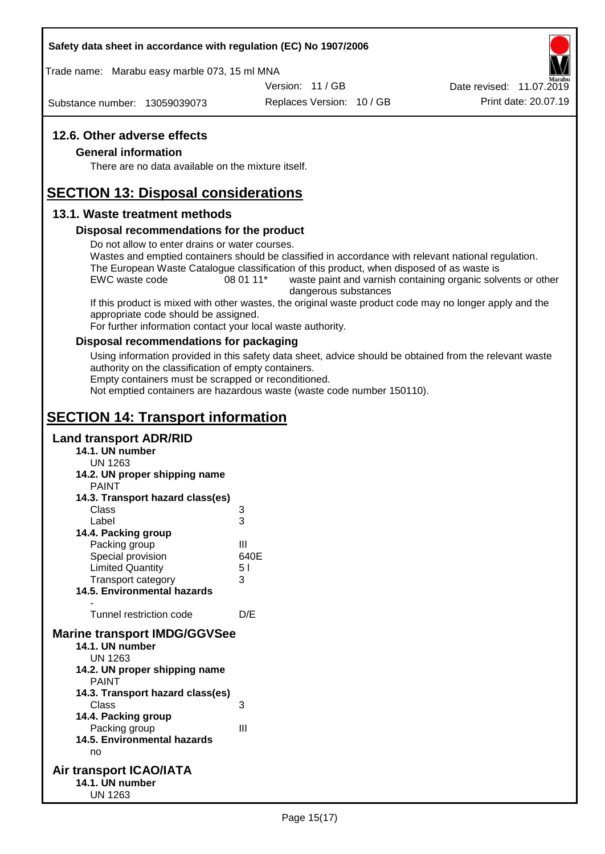#### **Safety data sheet in accordance with regulation (EC) No 1907/2006**

Trade name: Marabu easy marble 073, 15 ml MNA

Version: 11 / GB

Substance number: 13059039073

Replaces Version: 10 / GB Print date: 20.07.19 Date revised: 11.07.2019

## **12.6. Other adverse effects**

#### **General information**

There are no data available on the mixture itself.

# **SECTION 13: Disposal considerations**

#### **13.1. Waste treatment methods**

#### **Disposal recommendations for the product**

Do not allow to enter drains or water courses.

Wastes and emptied containers should be classified in accordance with relevant national regulation. The European Waste Catalogue classification of this product, when disposed of as waste is

EWC waste code 08 01 11<sup>\*</sup> waste paint and varnish containing organic solvents or other dangerous substances

If this product is mixed with other wastes, the original waste product code may no longer apply and the appropriate code should be assigned.

For further information contact your local waste authority.

#### **Disposal recommendations for packaging**

Using information provided in this safety data sheet, advice should be obtained from the relevant waste authority on the classification of empty containers.

Empty containers must be scrapped or reconditioned.

Not emptied containers are hazardous waste (waste code number 150110).

# **SECTION 14: Transport information**

#### **Land transport ADR/RID**

- **14.1. UN number**
	- UN 1263
- **14.2. UN proper shipping name**
	- PAINT

| 3                                   |
|-------------------------------------|
| 3                                   |
|                                     |
| Ш                                   |
| 640E                                |
| 51                                  |
| 3                                   |
|                                     |
|                                     |
| D/E                                 |
| <b>Marine transport IMDG/GGVSee</b> |
|                                     |
|                                     |
|                                     |
|                                     |
|                                     |
| 3                                   |
|                                     |
| Ш                                   |
|                                     |
|                                     |
|                                     |

#### **Air transport ICAO/IATA 14.1. UN number** UN 1263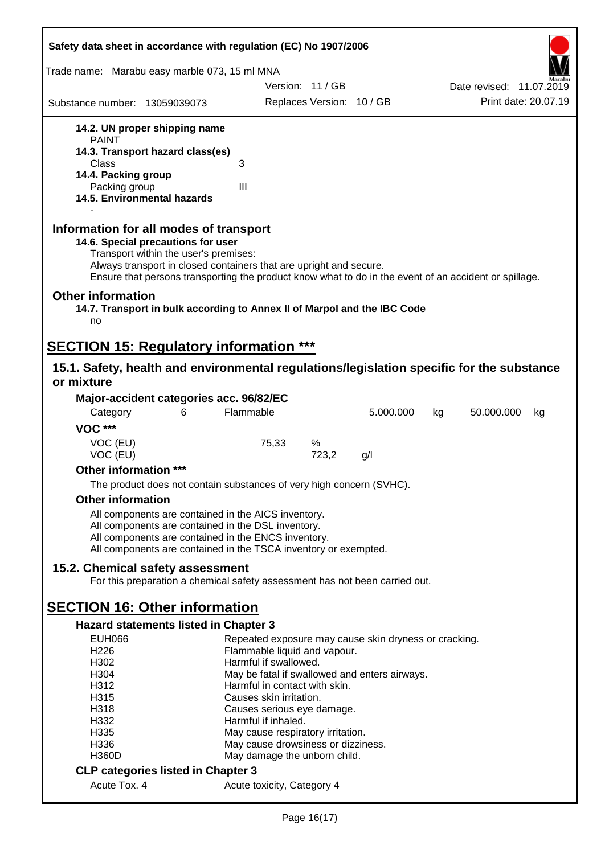| Safety data sheet in accordance with regulation (EC) No 1907/2006                                                                                                                                                                                                                                    |                         |                                    |                                                       |    |                          |                      |
|------------------------------------------------------------------------------------------------------------------------------------------------------------------------------------------------------------------------------------------------------------------------------------------------------|-------------------------|------------------------------------|-------------------------------------------------------|----|--------------------------|----------------------|
| Trade name: Marabu easy marble 073, 15 ml MNA                                                                                                                                                                                                                                                        |                         |                                    |                                                       |    |                          |                      |
|                                                                                                                                                                                                                                                                                                      |                         | Version: 11 / GB                   |                                                       |    | Date revised: 11.07.2019 |                      |
| Substance number: 13059039073                                                                                                                                                                                                                                                                        |                         | Replaces Version: 10 / GB          |                                                       |    |                          | Print date: 20.07.19 |
| 14.2. UN proper shipping name                                                                                                                                                                                                                                                                        |                         |                                    |                                                       |    |                          |                      |
| <b>PAINT</b>                                                                                                                                                                                                                                                                                         |                         |                                    |                                                       |    |                          |                      |
| 14.3. Transport hazard class(es)                                                                                                                                                                                                                                                                     |                         |                                    |                                                       |    |                          |                      |
| Class<br>14.4. Packing group                                                                                                                                                                                                                                                                         | 3                       |                                    |                                                       |    |                          |                      |
| Packing group                                                                                                                                                                                                                                                                                        | III                     |                                    |                                                       |    |                          |                      |
| 14.5. Environmental hazards                                                                                                                                                                                                                                                                          |                         |                                    |                                                       |    |                          |                      |
| Information for all modes of transport<br>14.6. Special precautions for user<br>Transport within the user's premises:<br>Always transport in closed containers that are upright and secure.<br>Ensure that persons transporting the product know what to do in the event of an accident or spillage. |                         |                                    |                                                       |    |                          |                      |
| <b>Other information</b><br>14.7. Transport in bulk according to Annex II of Marpol and the IBC Code<br>no                                                                                                                                                                                           |                         |                                    |                                                       |    |                          |                      |
| <b>SECTION 15: Regulatory information ***</b>                                                                                                                                                                                                                                                        |                         |                                    |                                                       |    |                          |                      |
| 15.1. Safety, health and environmental regulations/legislation specific for the substance                                                                                                                                                                                                            |                         |                                    |                                                       |    |                          |                      |
| or mixture                                                                                                                                                                                                                                                                                           |                         |                                    |                                                       |    |                          |                      |
| Major-accident categories acc. 96/82/EC                                                                                                                                                                                                                                                              |                         |                                    |                                                       |    |                          |                      |
| 6<br>Category                                                                                                                                                                                                                                                                                        | Flammable               |                                    | 5.000.000                                             | kg | 50.000.000               | kg                   |
| <b>VOC ***</b>                                                                                                                                                                                                                                                                                       |                         |                                    |                                                       |    |                          |                      |
| VOC (EU)                                                                                                                                                                                                                                                                                             | 75,33                   | %                                  |                                                       |    |                          |                      |
| VOC (EU)                                                                                                                                                                                                                                                                                             |                         | 723,2                              | g/l                                                   |    |                          |                      |
| Other information ***                                                                                                                                                                                                                                                                                |                         |                                    |                                                       |    |                          |                      |
| The product does not contain substances of very high concern (SVHC).                                                                                                                                                                                                                                 |                         |                                    |                                                       |    |                          |                      |
| <b>Other information</b>                                                                                                                                                                                                                                                                             |                         |                                    |                                                       |    |                          |                      |
| All components are contained in the AICS inventory.                                                                                                                                                                                                                                                  |                         |                                    |                                                       |    |                          |                      |
| All components are contained in the DSL inventory.                                                                                                                                                                                                                                                   |                         |                                    |                                                       |    |                          |                      |
| All components are contained in the ENCS inventory.                                                                                                                                                                                                                                                  |                         |                                    |                                                       |    |                          |                      |
| All components are contained in the TSCA inventory or exempted.                                                                                                                                                                                                                                      |                         |                                    |                                                       |    |                          |                      |
| 15.2. Chemical safety assessment                                                                                                                                                                                                                                                                     |                         |                                    |                                                       |    |                          |                      |
| For this preparation a chemical safety assessment has not been carried out.                                                                                                                                                                                                                          |                         |                                    |                                                       |    |                          |                      |
|                                                                                                                                                                                                                                                                                                      |                         |                                    |                                                       |    |                          |                      |
| <b>SECTION 16: Other information</b>                                                                                                                                                                                                                                                                 |                         |                                    |                                                       |    |                          |                      |
| Hazard statements listed in Chapter 3                                                                                                                                                                                                                                                                |                         |                                    |                                                       |    |                          |                      |
| <b>EUH066</b>                                                                                                                                                                                                                                                                                        |                         |                                    | Repeated exposure may cause skin dryness or cracking. |    |                          |                      |
| H <sub>226</sub>                                                                                                                                                                                                                                                                                     |                         | Flammable liquid and vapour.       |                                                       |    |                          |                      |
| H302                                                                                                                                                                                                                                                                                                 | Harmful if swallowed.   |                                    |                                                       |    |                          |                      |
| H304                                                                                                                                                                                                                                                                                                 |                         |                                    | May be fatal if swallowed and enters airways.         |    |                          |                      |
| H312<br>H315                                                                                                                                                                                                                                                                                         | Causes skin irritation. | Harmful in contact with skin.      |                                                       |    |                          |                      |
| H318                                                                                                                                                                                                                                                                                                 |                         | Causes serious eye damage.         |                                                       |    |                          |                      |
| H332                                                                                                                                                                                                                                                                                                 | Harmful if inhaled.     |                                    |                                                       |    |                          |                      |
| H335                                                                                                                                                                                                                                                                                                 |                         | May cause respiratory irritation.  |                                                       |    |                          |                      |
| H336                                                                                                                                                                                                                                                                                                 |                         | May cause drowsiness or dizziness. |                                                       |    |                          |                      |
| <b>H360D</b>                                                                                                                                                                                                                                                                                         |                         | May damage the unborn child.       |                                                       |    |                          |                      |
| <b>CLP categories listed in Chapter 3</b>                                                                                                                                                                                                                                                            |                         |                                    |                                                       |    |                          |                      |
| Acute Tox. 4                                                                                                                                                                                                                                                                                         |                         | Acute toxicity, Category 4         |                                                       |    |                          |                      |